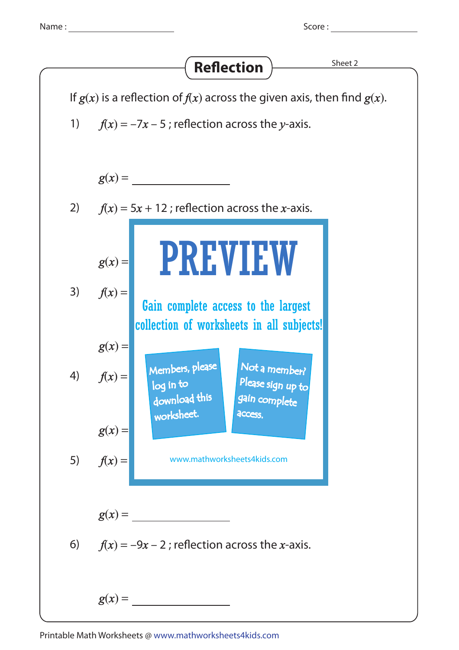